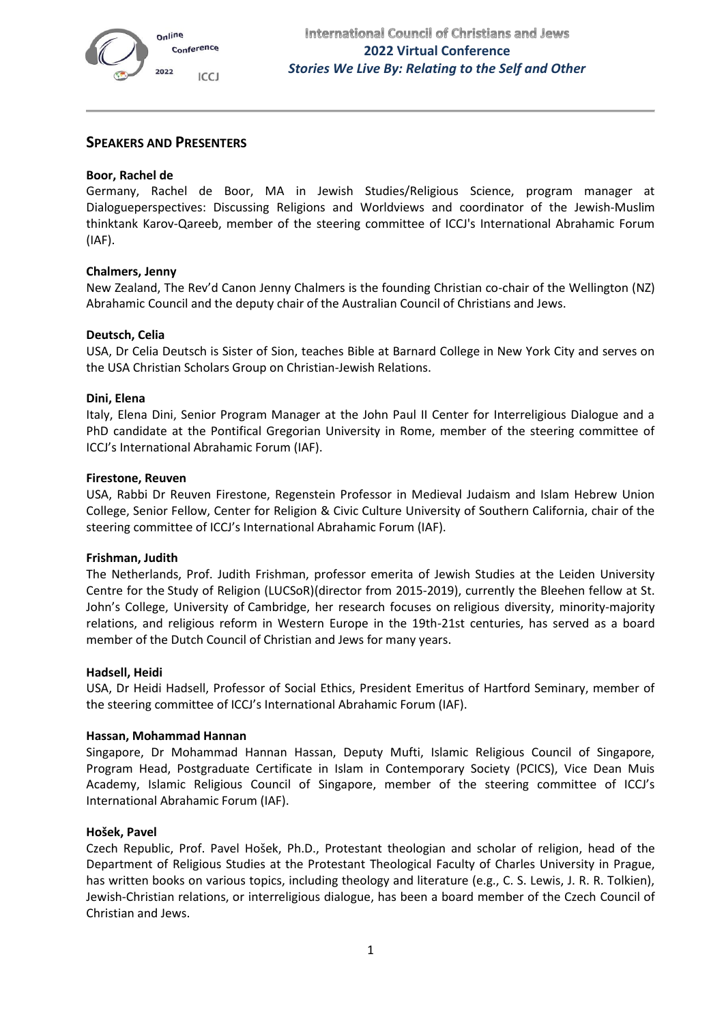# **SPEAKERS AND PRESENTERS**

## **Boor, Rachel de**

Germany, Rachel de Boor, MA in Jewish Studies/Religious Science, program manager at Dialogueperspectives: Discussing Religions and Worldviews and coordinator of the Jewish-Muslim thinktank Karov-Qareeb, member of the steering committee of ICCJ's International Abrahamic Forum (IAF).

# **Chalmers, Jenny**

New Zealand, The Rev'd Canon Jenny Chalmers is the founding Christian co-chair of the Wellington (NZ) Abrahamic Council and the deputy chair of the Australian Council of Christians and Jews.

# **Deutsch, Celia**

USA, Dr Celia Deutsch is Sister of Sion, teaches Bible at Barnard College in New York City and serves on the USA Christian Scholars Group on Christian-Jewish Relations.

### **Dini, Elena**

Italy, Elena Dini, Senior Program Manager at the John Paul II Center for Interreligious Dialogue and a PhD candidate at the Pontifical Gregorian University in Rome, member of the steering committee of ICCJ's International Abrahamic Forum (IAF).

### **Firestone, Reuven**

USA, Rabbi Dr Reuven Firestone, Regenstein Professor in Medieval Judaism and Islam Hebrew Union College, Senior Fellow, Center for Religion & Civic Culture University of Southern California, chair of the steering committee of ICCJ's International Abrahamic Forum (IAF).

### **Frishman, Judith**

The Netherlands, Prof. Judith Frishman, professor emerita of Jewish Studies at the Leiden University Centre for the Study of Religion (LUCSoR)(director from 2015-2019), currently the Bleehen fellow at St. John's College, University of Cambridge, her research focuses on religious diversity, minority-majority relations, and religious reform in Western Europe in the 19th-21st centuries, has served as a board member of the Dutch Council of Christian and Jews for many years.

### **Hadsell, Heidi**

USA, Dr Heidi Hadsell, Professor of Social Ethics, President Emeritus of Hartford Seminary, member of the steering committee of ICCJ's International Abrahamic Forum (IAF).

### **Hassan, Mohammad Hannan**

Singapore, Dr Mohammad Hannan Hassan, Deputy Mufti, Islamic Religious Council of Singapore, Program Head, Postgraduate Certificate in Islam in Contemporary Society (PCICS), Vice Dean Muis Academy, Islamic Religious Council of Singapore, member of the steering committee of ICCJ's International Abrahamic Forum (IAF).

### **Hošek, Pavel**

Czech Republic, Prof. Pavel Hošek, Ph.D., Protestant theologian and scholar of religion, head of the Department of Religious Studies at the Protestant Theological Faculty of Charles University in Prague, has written books on various topics, including theology and literature (e.g., C. S. Lewis, J. R. R. Tolkien), Jewish-Christian relations, or interreligious dialogue, has been a board member of the Czech Council of Christian and Jews.